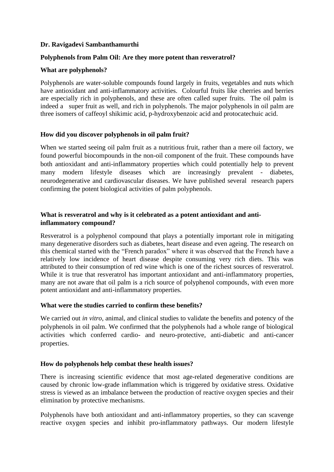### **Dr. Ravigadevi Sambanthamurthi**

#### **Polyphenols from Palm Oil: Are they more potent than resveratrol?**

#### **What are polyphenols?**

Polyphenols are water-soluble compounds found largely in fruits, vegetables and nuts which have antioxidant and anti-inflammatory activities. Colourful fruits like cherries and berries are especially rich in polyphenols, and these are often called super fruits. The oil palm is indeed a super fruit as well, and rich in polyphenols. The major polyphenols in oil palm are three isomers of caffeoyl shikimic acid, p-hydroxybenzoic acid and protocatechuic acid.

#### **How did you discover polyphenols in oil palm fruit?**

When we started seeing oil palm fruit as a nutritious fruit, rather than a mere oil factory, we found powerful biocompounds in the non-oil component of the fruit. These compounds have both antioxidant and anti-inflammatory properties which could potentially help to prevent many modern lifestyle diseases which are increasingly prevalent - diabetes, neurodegenerative and cardiovascular diseases. We have published several research papers confirming the potent biological activities of palm polyphenols.

# **What is resveratrol and why is it celebrated as a potent antioxidant and antiinflammatory compound?**

Resveratrol is a polyphenol compound that plays a potentially important role in mitigating many degenerative disorders such as diabetes, heart disease and even ageing. The research on this chemical started with the "French paradox" where it was observed that the French have a relatively low incidence of heart disease despite consuming very rich diets. This was attributed to their consumption of red wine which is one of the richest sources of resveratrol. While it is true that resveratrol has important antioxidant and anti-inflammatory properties, many are not aware that oil palm is a rich source of polyphenol compounds, with even more potent antioxidant and anti-inflammatory properties.

# **What were the studies carried to confirm these benefits?**

We carried out *in vitro*, animal, and clinical studies to validate the benefits and potency of the polyphenols in oil palm. We confirmed that the polyphenols had a whole range of biological activities which conferred cardio- and neuro-protective, anti-diabetic and anti-cancer properties.

# **How do polyphenols help combat these health issues?**

There is increasing scientific evidence that most age-related degenerative conditions are caused by chronic low-grade inflammation which is triggered by oxidative stress. Oxidative stress is viewed as an imbalance between the production of reactive oxygen species and their elimination by protective mechanisms.

Polyphenols have both antioxidant and anti-inflammatory properties, so they can scavenge reactive oxygen species and inhibit pro-inflammatory pathways. Our modern lifestyle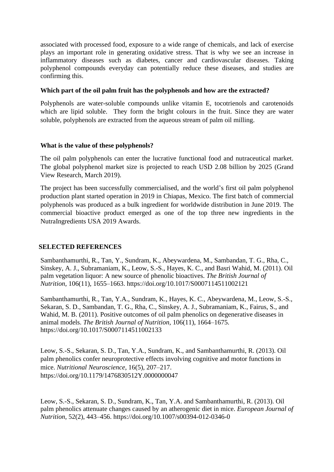associated with processed food, exposure to a wide range of chemicals, and lack of exercise plays an important role in generating oxidative stress. That is why we see an increase in inflammatory diseases such as diabetes, cancer and cardiovascular diseases. Taking polyphenol compounds everyday can potentially reduce these diseases, and studies are confirming this.

### **Which part of the oil palm fruit has the polyphenols and how are the extracted?**

Polyphenols are water-soluble compounds unlike vitamin E, tocotrienols and carotenoids which are lipid soluble. They form the bright colours in the fruit. Since they are water soluble, polyphenols are extracted from the aqueous stream of palm oil milling.

# **What is the value of these polyphenols?**

The oil palm polyphenols can enter the lucrative functional food and nutraceutical market. The global polyphenol market size is projected to reach USD 2.08 billion by 2025 (Grand View Research, March 2019).

The project has been successfully commercialised, and the world's first oil palm polyphenol production plant started operation in 2019 in Chiapas, Mexico. The first batch of commercial polyphenols was produced as a bulk ingredient for worldwide distribution in June 2019. The commercial bioactive product emerged as one of the top three new ingredients in the NutraIngredients USA 2019 Awards.

# **SELECTED REFERENCES**

Sambanthamurthi, R., Tan, Y., Sundram, K., Abeywardena, M., Sambandan, T. G., Rha, C., Sinskey, A. J., Subramaniam, K., Leow, S.-S., Hayes, K. C., and Basri Wahid, M. (2011). Oil palm vegetation liquor: A new source of phenolic bioactives. *The British Journal of Nutrition*, 106(11), 1655–1663.<https://doi.org/10.1017/S0007114511002121>

Sambanthamurthi, R., Tan, Y.A., Sundram, K., Hayes, K. C., Abeywardena, M., Leow, S.-S., Sekaran, S. D., Sambandan, T. G., Rha, C., Sinskey, A. J., Subramaniam, K., Fairus, S., and Wahid, M. B. (2011). Positive outcomes of oil palm phenolics on degenerative diseases in animal models. *The British Journal of Nutrition*, 106(11), 1664–1675. <https://doi.org/10.1017/S0007114511002133>

Leow, S.-S., Sekaran, S. D., Tan, Y.A., Sundram, K., and Sambanthamurthi, R. (2013). Oil palm phenolics confer neuroprotective effects involving cognitive and motor functions in mice. *Nutritional Neuroscience*, 16(5), 207–217. <https://doi.org/10.1179/1476830512Y.0000000047>

Leow, S.-S., Sekaran, S. D., Sundram, K., Tan, Y.A. and Sambanthamurthi, R. (2013). Oil palm phenolics attenuate changes caused by an atherogenic diet in mice. *European Journal of Nutrition*, 52(2), 443–456.<https://doi.org/10.1007/s00394-012-0346-0>